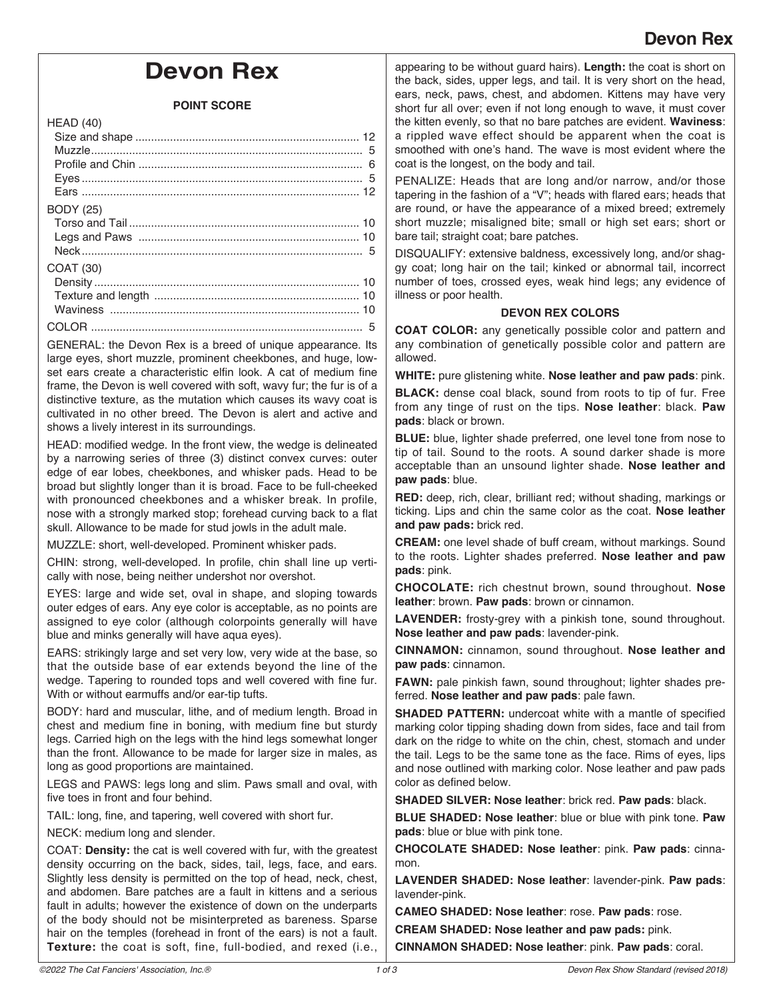# **Devon Rex**

### **POINT SCORE**

| <b>BODY</b> (25)<br><b>COAT (30)</b> | <b>HEAD (40)</b> |  |
|--------------------------------------|------------------|--|
|                                      |                  |  |
|                                      |                  |  |
|                                      |                  |  |
|                                      |                  |  |
|                                      |                  |  |
|                                      |                  |  |
|                                      |                  |  |
|                                      |                  |  |
|                                      |                  |  |
|                                      |                  |  |
|                                      |                  |  |
|                                      |                  |  |
|                                      |                  |  |
|                                      |                  |  |

GENERAL: the Devon Rex is a breed of unique appearance. Its large eyes, short muzzle, prominent cheekbones, and huge, lowset ears create a characteristic elfin look. A cat of medium fine frame, the Devon is well covered with soft, wavy fur; the fur is of a distinctive texture, as the mutation which causes its wavy coat is cultivated in no other breed. The Devon is alert and active and shows a lively interest in its surroundings.

HEAD: modified wedge. In the front view, the wedge is delineated by a narrowing series of three (3) distinct convex curves: outer edge of ear lobes, cheekbones, and whisker pads. Head to be broad but slightly longer than it is broad. Face to be full-cheeked with pronounced cheekbones and a whisker break. In profile, nose with a strongly marked stop; forehead curving back to a flat skull. Allowance to be made for stud jowls in the adult male.

MUZZLE: short, well-developed. Prominent whisker pads.

CHIN: strong, well-developed. In profile, chin shall line up vertically with nose, being neither undershot nor overshot.

EYES: large and wide set, oval in shape, and sloping towards outer edges of ears. Any eye color is acceptable, as no points are assigned to eye color (although colorpoints generally will have blue and minks generally will have aqua eyes).

EARS: strikingly large and set very low, very wide at the base, so that the outside base of ear extends beyond the line of the wedge. Tapering to rounded tops and well covered with fine fur. With or without earmuffs and/or ear-tip tufts.

BODY: hard and muscular, lithe, and of medium length. Broad in chest and medium fine in boning, with medium fine but sturdy legs. Carried high on the legs with the hind legs somewhat longer than the front. Allowance to be made for larger size in males, as long as good proportions are maintained.

LEGS and PAWS: legs long and slim. Paws small and oval, with five toes in front and four behind.

TAIL: long, fine, and tapering, well covered with short fur.

NECK: medium long and slender.

COAT: **Density:** the cat is well covered with fur, with the greatest density occurring on the back, sides, tail, legs, face, and ears. Slightly less density is permitted on the top of head, neck, chest, and abdomen. Bare patches are a fault in kittens and a serious fault in adults; however the existence of down on the underparts of the body should not be misinterpreted as bareness. Sparse hair on the temples (forehead in front of the ears) is not a fault. **Texture:** the coat is soft, fine, full-bodied, and rexed (i.e.,

appearing to be without guard hairs). **Length:** the coat is short on the back, sides, upper legs, and tail. It is very short on the head, ears, neck, paws, chest, and abdomen. Kittens may have very short fur all over; even if not long enough to wave, it must cover the kitten evenly, so that no bare patches are evident. **Waviness**: a rippled wave effect should be apparent when the coat is smoothed with one's hand. The wave is most evident where the coat is the longest, on the body and tail.

PENALIZE: Heads that are long and/or narrow, and/or those tapering in the fashion of a "V"; heads with flared ears; heads that are round, or have the appearance of a mixed breed; extremely short muzzle; misaligned bite; small or high set ears; short or bare tail; straight coat; bare patches.

DISQUALIFY: extensive baldness, excessively long, and/or shaggy coat; long hair on the tail; kinked or abnormal tail, incorrect number of toes, crossed eyes, weak hind legs; any evidence of illness or poor health.

#### **DEVON REX COLORS**

**COAT COLOR:** any genetically possible color and pattern and any combination of genetically possible color and pattern are allowed.

**WHITE:** pure glistening white. **Nose leather and paw pads**: pink.

**BLACK:** dense coal black, sound from roots to tip of fur. Free from any tinge of rust on the tips. **Nose leather**: black. **Paw pads**: black or brown.

**BLUE:** blue, lighter shade preferred, one level tone from nose to tip of tail. Sound to the roots. A sound darker shade is more acceptable than an unsound lighter shade. **Nose leather and paw pads**: blue.

**RED:** deep, rich, clear, brilliant red; without shading, markings or ticking. Lips and chin the same color as the coat. **Nose leather and paw pads:** brick red.

**CREAM:** one level shade of buff cream, without markings. Sound to the roots. Lighter shades preferred. **Nose leather and paw pads**: pink.

**CHOCOLATE:** rich chestnut brown, sound throughout. **Nose leather**: brown. **Paw pads**: brown or cinnamon.

**LAVENDER:** frosty-grey with a pinkish tone, sound throughout. **Nose leather and paw pads**: lavender-pink.

**CINNAMON:** cinnamon, sound throughout. **Nose leather and paw pads**: cinnamon.

**FAWN:** pale pinkish fawn, sound throughout; lighter shades preferred. **Nose leather and paw pads**: pale fawn.

**SHADED PATTERN:** undercoat white with a mantle of specified marking color tipping shading down from sides, face and tail from dark on the ridge to white on the chin, chest, stomach and under the tail. Legs to be the same tone as the face. Rims of eyes, lips and nose outlined with marking color. Nose leather and paw pads color as defined below.

**SHADED SILVER: Nose leather**: brick red. **Paw pads**: black.

**BLUE SHADED: Nose leather**: blue or blue with pink tone. **Paw pads**: blue or blue with pink tone.

**CHOCOLATE SHADED: Nose leather**: pink. **Paw pads**: cinnamon.

**LAVENDER SHADED: Nose leather**: lavender-pink. **Paw pads**: lavender-pink.

**CAMEO SHADED: Nose leather**: rose. **Paw pads**: rose.

**CREAM SHADED: Nose leather and paw pads:** pink.

**CINNAMON SHADED: Nose leather**: pink. **Paw pads**: coral.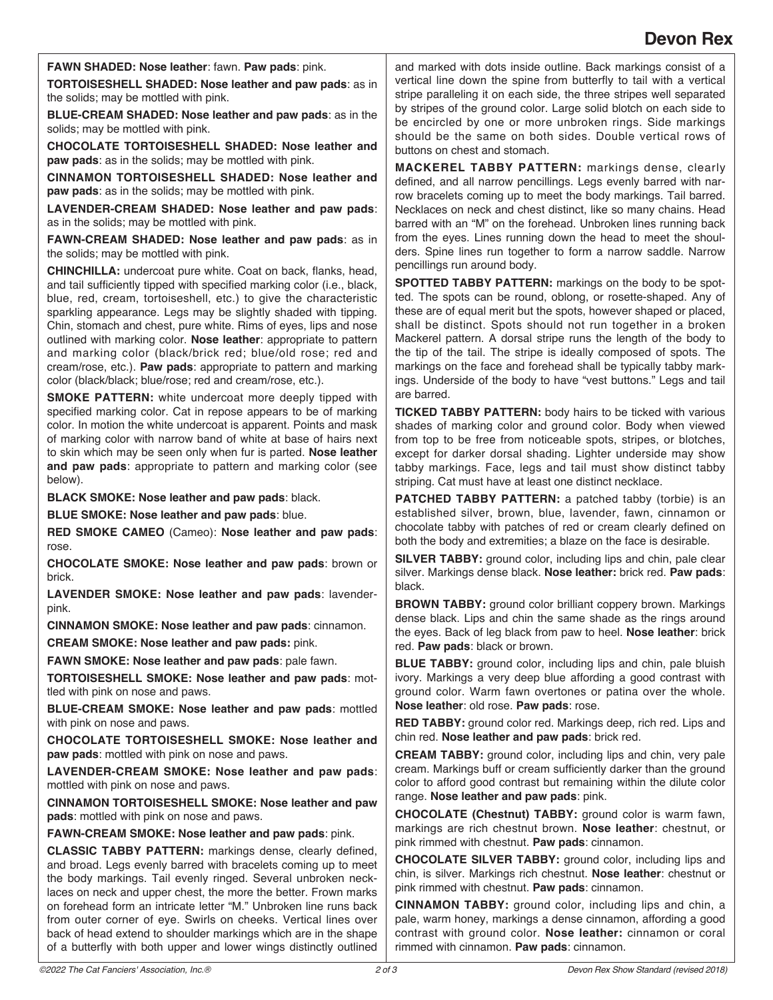**FAWN SHADED: Nose leather**: fawn. **Paw pads**: pink.

**TORTOISESHELL SHADED: Nose leather and paw pads**: as in the solids; may be mottled with pink.

**BLUE-CREAM SHADED: Nose leather and paw pads**: as in the solids; may be mottled with pink.

**CHOCOLATE TORTOISESHELL SHADED: Nose leather and paw pads**: as in the solids; may be mottled with pink.

**CINNAMON TORTOISESHELL SHADED: Nose leather and paw pads**: as in the solids; may be mottled with pink.

**LAVENDER-CREAM SHADED: Nose leather and paw pads**: as in the solids; may be mottled with pink.

**FAWN-CREAM SHADED: Nose leather and paw pads**: as in the solids; may be mottled with pink.

**CHINCHILLA:** undercoat pure white. Coat on back, flanks, head, and tail sufficiently tipped with specified marking color (i.e., black, blue, red, cream, tortoiseshell, etc.) to give the characteristic sparkling appearance. Legs may be slightly shaded with tipping. Chin, stomach and chest, pure white. Rims of eyes, lips and nose outlined with marking color. **Nose leather**: appropriate to pattern and marking color (black/brick red; blue/old rose; red and cream/rose, etc.). **Paw pads**: appropriate to pattern and marking color (black/black; blue/rose; red and cream/rose, etc.).

**SMOKE PATTERN:** white undercoat more deeply tipped with specified marking color. Cat in repose appears to be of marking color. In motion the white undercoat is apparent. Points and mask of marking color with narrow band of white at base of hairs next to skin which may be seen only when fur is parted. **Nose leather and paw pads**: appropriate to pattern and marking color (see below).

**BLACK SMOKE: Nose leather and paw pads**: black.

**BLUE SMOKE: Nose leather and paw pads**: blue.

**RED SMOKE CAMEO** (Cameo): **Nose leather and paw pads**: rose.

**CHOCOLATE SMOKE: Nose leather and paw pads**: brown or brick.

**LAVENDER SMOKE: Nose leather and paw pads**: lavenderpink.

**CINNAMON SMOKE: Nose leather and paw pads**: cinnamon. **CREAM SMOKE: Nose leather and paw pads:** pink.

**FAWN SMOKE: Nose leather and paw pads**: pale fawn.

**TORTOISESHELL SMOKE: Nose leather and paw pads**: mottled with pink on nose and paws.

**BLUE-CREAM SMOKE: Nose leather and paw pads**: mottled with pink on nose and paws.

**CHOCOLATE TORTOISESHELL SMOKE: Nose leather and paw pads**: mottled with pink on nose and paws.

**LAVENDER-CREAM SMOKE: Nose leather and paw pads**: mottled with pink on nose and paws.

**CINNAMON TORTOISESHELL SMOKE: Nose leather and paw pads**: mottled with pink on nose and paws.

**FAWN-CREAM SMOKE: Nose leather and paw pads**: pink.

**CLASSIC TABBY PATTERN:** markings dense, clearly defined, and broad. Legs evenly barred with bracelets coming up to meet the body markings. Tail evenly ringed. Several unbroken necklaces on neck and upper chest, the more the better. Frown marks on forehead form an intricate letter "M." Unbroken line runs back from outer corner of eye. Swirls on cheeks. Vertical lines over back of head extend to shoulder markings which are in the shape of a butterfly with both upper and lower wings distinctly outlined

and marked with dots inside outline. Back markings consist of a vertical line down the spine from butterfly to tail with a vertical stripe paralleling it on each side, the three stripes well separated by stripes of the ground color. Large solid blotch on each side to be encircled by one or more unbroken rings. Side markings should be the same on both sides. Double vertical rows of buttons on chest and stomach.

**MACKEREL TABBY PATTERN:** markings dense, clearly defined, and all narrow pencillings. Legs evenly barred with narrow bracelets coming up to meet the body markings. Tail barred. Necklaces on neck and chest distinct, like so many chains. Head barred with an "M" on the forehead. Unbroken lines running back from the eyes. Lines running down the head to meet the shoulders. Spine lines run together to form a narrow saddle. Narrow pencillings run around body.

**SPOTTED TABBY PATTERN:** markings on the body to be spotted. The spots can be round, oblong, or rosette-shaped. Any of these are of equal merit but the spots, however shaped or placed, shall be distinct. Spots should not run together in a broken Mackerel pattern. A dorsal stripe runs the length of the body to the tip of the tail. The stripe is ideally composed of spots. The markings on the face and forehead shall be typically tabby markings. Underside of the body to have "vest buttons." Legs and tail are barred.

**TICKED TABBY PATTERN:** body hairs to be ticked with various shades of marking color and ground color. Body when viewed from top to be free from noticeable spots, stripes, or blotches, except for darker dorsal shading. Lighter underside may show tabby markings. Face, legs and tail must show distinct tabby striping. Cat must have at least one distinct necklace.

PATCHED TABBY PATTERN: a patched tabby (torbie) is an established silver, brown, blue, lavender, fawn, cinnamon or chocolate tabby with patches of red or cream clearly defined on both the body and extremities; a blaze on the face is desirable.

**SILVER TABBY:** ground color, including lips and chin, pale clear silver. Markings dense black. **Nose leather:** brick red. **Paw pads**: black.

**BROWN TABBY:** ground color brilliant coppery brown. Markings dense black. Lips and chin the same shade as the rings around the eyes. Back of leg black from paw to heel. **Nose leather**: brick red. **Paw pads**: black or brown.

**BLUE TABBY:** ground color, including lips and chin, pale bluish ivory. Markings a very deep blue affording a good contrast with ground color. Warm fawn overtones or patina over the whole. **Nose leather**: old rose. **Paw pads**: rose.

**RED TABBY:** ground color red. Markings deep, rich red. Lips and chin red. **Nose leather and paw pads**: brick red.

**CREAM TABBY:** ground color, including lips and chin, very pale cream. Markings buff or cream sufficiently darker than the ground color to afford good contrast but remaining within the dilute color range. **Nose leather and paw pads**: pink.

**CHOCOLATE (Chestnut) TABBY:** ground color is warm fawn, markings are rich chestnut brown. **Nose leather**: chestnut, or pink rimmed with chestnut. **Paw pads**: cinnamon.

**CHOCOLATE SILVER TABBY:** ground color, including lips and chin, is silver. Markings rich chestnut. **Nose leather**: chestnut or pink rimmed with chestnut. **Paw pads**: cinnamon.

**CINNAMON TABBY:** ground color, including lips and chin, a pale, warm honey, markings a dense cinnamon, affording a good contrast with ground color. **Nose leather:** cinnamon or coral rimmed with cinnamon. **Paw pads**: cinnamon.